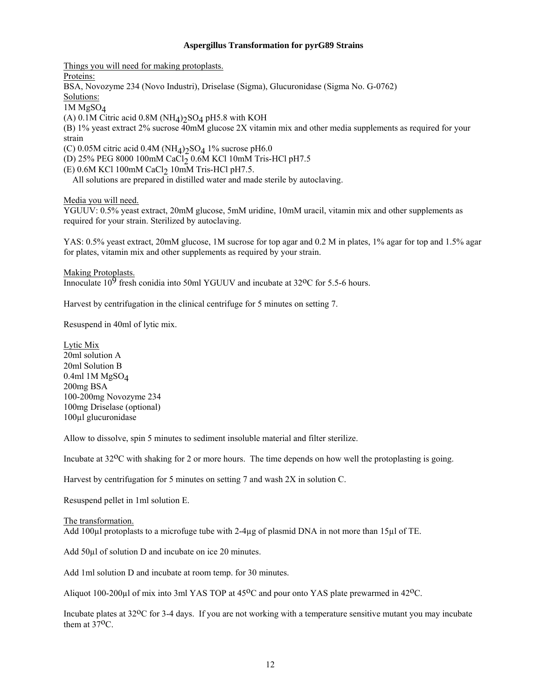## **Aspergillus Transformation for pyrG89 Strains**

Things you will need for making protoplasts.

Proteins:

BSA, Novozyme 234 (Novo Industri), Driselase (Sigma), Glucuronidase (Sigma No. G-0762)

Solutions:

 $1M MgSO<sub>4</sub>$ 

(A) 0.1M Citric acid 0.8M (NH<sub>4</sub>) $_2$ SO<sub>4</sub> pH5.8 with KOH

(B) 1% yeast extract 2% sucrose 40mM glucose 2X vitamin mix and other media supplements as required for your strain

(C) 0.05M citric acid 0.4M ( $NH<sub>4</sub>$ ) $<sub>2</sub>SO<sub>4</sub>$  1% sucrose pH6.0</sub>

(D) 25% PEG 8000 100mM CaCl<sub>2</sub> 0.6M KCl 10mM Tris-HCl pH7.5

 $(E)$  0.6M KCl 100mM CaCl<sub>2</sub> 10mM Tris-HCl pH7.5.

All solutions are prepared in distilled water and made sterile by autoclaving.

Media you will need.

YGUUV: 0.5% yeast extract, 20mM glucose, 5mM uridine, 10mM uracil, vitamin mix and other supplements as required for your strain. Sterilized by autoclaving.

YAS: 0.5% yeast extract, 20mM glucose, 1M sucrose for top agar and 0.2 M in plates, 1% agar for top and 1.5% agar for plates, vitamin mix and other supplements as required by your strain.

Making Protoplasts.

Innoculate  $10^9$  fresh conidia into 50ml YGUUV and incubate at 32<sup>o</sup>C for 5.5-6 hours.

Harvest by centrifugation in the clinical centrifuge for 5 minutes on setting 7.

Resuspend in 40ml of lytic mix.

Lytic Mix 20ml solution A 20ml Solution B 0.4ml 1M MgSO4 200mg BSA 100-200mg Novozyme 234 100mg Driselase (optional) 100µl glucuronidase

Allow to dissolve, spin 5 minutes to sediment insoluble material and filter sterilize.

Incubate at 32<sup>o</sup>C with shaking for 2 or more hours. The time depends on how well the protoplasting is going.

Harvest by centrifugation for 5 minutes on setting 7 and wash 2X in solution C.

Resuspend pellet in 1ml solution E.

The transformation. Add 100µl protoplasts to a microfuge tube with 2-4µg of plasmid DNA in not more than 15µl of TE.

Add 50µl of solution D and incubate on ice 20 minutes.

Add 1ml solution D and incubate at room temp. for 30 minutes.

Aliquot 100-200µl of mix into 3ml YAS TOP at 45<sup>o</sup>C and pour onto YAS plate prewarmed in 42<sup>o</sup>C.

Incubate plates at 32<sup>o</sup>C for 3-4 days. If you are not working with a temperature sensitive mutant you may incubate them at 37oC.